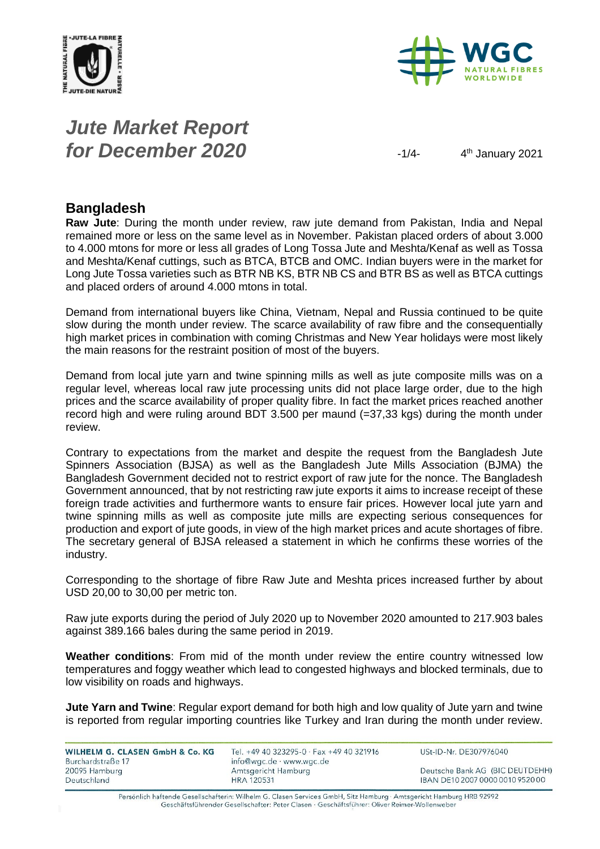



# *Jute Market Report for December 2020*  $\frac{1}{4}$

4<sup>th</sup> January 2021

#### **Bangladesh**

**Raw Jute**: During the month under review, raw jute demand from Pakistan, India and Nepal remained more or less on the same level as in November. Pakistan placed orders of about 3.000 to 4.000 mtons for more or less all grades of Long Tossa Jute and Meshta/Kenaf as well as Tossa and Meshta/Kenaf cuttings, such as BTCA, BTCB and OMC. Indian buyers were in the market for Long Jute Tossa varieties such as BTR NB KS, BTR NB CS and BTR BS as well as BTCA cuttings and placed orders of around 4.000 mtons in total.

Demand from international buyers like China, Vietnam, Nepal and Russia continued to be quite slow during the month under review. The scarce availability of raw fibre and the consequentially high market prices in combination with coming Christmas and New Year holidays were most likely the main reasons for the restraint position of most of the buyers.

Demand from local jute yarn and twine spinning mills as well as jute composite mills was on a regular level, whereas local raw jute processing units did not place large order, due to the high prices and the scarce availability of proper quality fibre. In fact the market prices reached another record high and were ruling around BDT 3.500 per maund (=37,33 kgs) during the month under review.

Contrary to expectations from the market and despite the request from the Bangladesh Jute Spinners Association (BJSA) as well as the Bangladesh Jute Mills Association (BJMA) the Bangladesh Government decided not to restrict export of raw jute for the nonce. The Bangladesh Government announced, that by not restricting raw jute exports it aims to increase receipt of these foreign trade activities and furthermore wants to ensure fair prices. However local jute yarn and twine spinning mills as well as composite jute mills are expecting serious consequences for production and export of jute goods, in view of the high market prices and acute shortages of fibre. The secretary general of BJSA released a statement in which he confirms these worries of the industry.

Corresponding to the shortage of fibre Raw Jute and Meshta prices increased further by about USD 20,00 to 30,00 per metric ton.

Raw jute exports during the period of July 2020 up to November 2020 amounted to 217.903 bales against 389.166 bales during the same period in 2019.

**Weather conditions**: From mid of the month under review the entire country witnessed low temperatures and foggy weather which lead to congested highways and blocked terminals, due to low visibility on roads and highways.

**Jute Yarn and Twine**: Regular export demand for both high and low quality of Jute yarn and twine is reported from regular importing countries like Turkey and Iran during the month under review.

WILHELM G. CLASEN GmbH & Co. KG Burchardstraße 17 20095 Hamburg Deutschland

Tel. +49 40 323295-0 · Fax +49 40 321916 info@wgc.de · www.wgc.de Amtsgericht Hamburg **HRA 120531** 

USt-ID-Nr. DE307976040

Deutsche Bank AG (BIC DEUTDEHH) IBAN DE10 2007 0000 0010 9520 00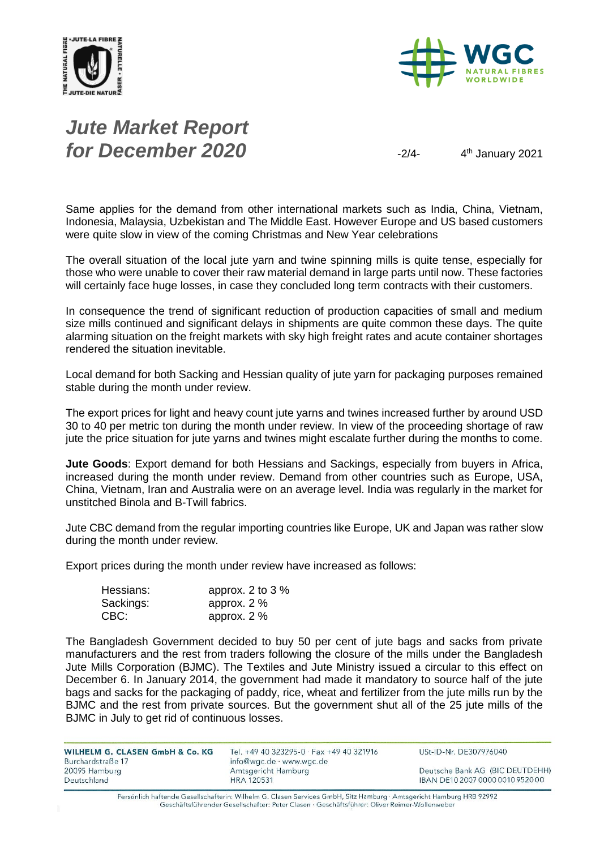



# *Jute Market Report for December 2020*  $\frac{2}{4}$

4<sup>th</sup> January 2021

Same applies for the demand from other international markets such as India, China, Vietnam, Indonesia, Malaysia, Uzbekistan and The Middle East. However Europe and US based customers were quite slow in view of the coming Christmas and New Year celebrations

The overall situation of the local jute yarn and twine spinning mills is quite tense, especially for those who were unable to cover their raw material demand in large parts until now. These factories will certainly face huge losses, in case they concluded long term contracts with their customers.

In consequence the trend of significant reduction of production capacities of small and medium size mills continued and significant delays in shipments are quite common these days. The quite alarming situation on the freight markets with sky high freight rates and acute container shortages rendered the situation inevitable.

Local demand for both Sacking and Hessian quality of jute yarn for packaging purposes remained stable during the month under review.

The export prices for light and heavy count jute yarns and twines increased further by around USD 30 to 40 per metric ton during the month under review. In view of the proceeding shortage of raw jute the price situation for jute yarns and twines might escalate further during the months to come.

**Jute Goods**: Export demand for both Hessians and Sackings, especially from buyers in Africa, increased during the month under review. Demand from other countries such as Europe, USA, China, Vietnam, Iran and Australia were on an average level. India was regularly in the market for unstitched Binola and B-Twill fabrics.

Jute CBC demand from the regular importing countries like Europe, UK and Japan was rather slow during the month under review.

Export prices during the month under review have increased as follows:

| Hessians: | approx. 2 to 3 % |
|-----------|------------------|
| Sackings: | approx. $2\%$    |
| CBC:      | approx. $2\%$    |

The Bangladesh Government decided to buy 50 per cent of jute bags and sacks from private manufacturers and the rest from traders following the closure of the mills under the Bangladesh Jute Mills Corporation (BJMC). The Textiles and Jute Ministry issued a circular to this effect on December 6. In January 2014, the government had made it mandatory to source half of the jute bags and sacks for the packaging of paddy, rice, wheat and fertilizer from the jute mills run by the BJMC and the rest from private sources. But the government shut all of the 25 jute mills of the BJMC in July to get rid of continuous losses.

| WILHELM G. CLASEN GmbH & Co. KG | Tel. +49 40 323295-0 · Fax +49 40 321916 | USt-ID-Nr. DE307976040           |
|---------------------------------|------------------------------------------|----------------------------------|
| Burchardstraße 17               | info@wgc.de · www.wgc.de                 |                                  |
| 20095 Hamburg                   | Amtsgericht Hamburg                      | Deutsche Bank AG (BIC DEUTDEHH)  |
| Deutschland                     | <b>HRA 120531</b>                        | IBAN DE10 2007 0000 0010 9520 00 |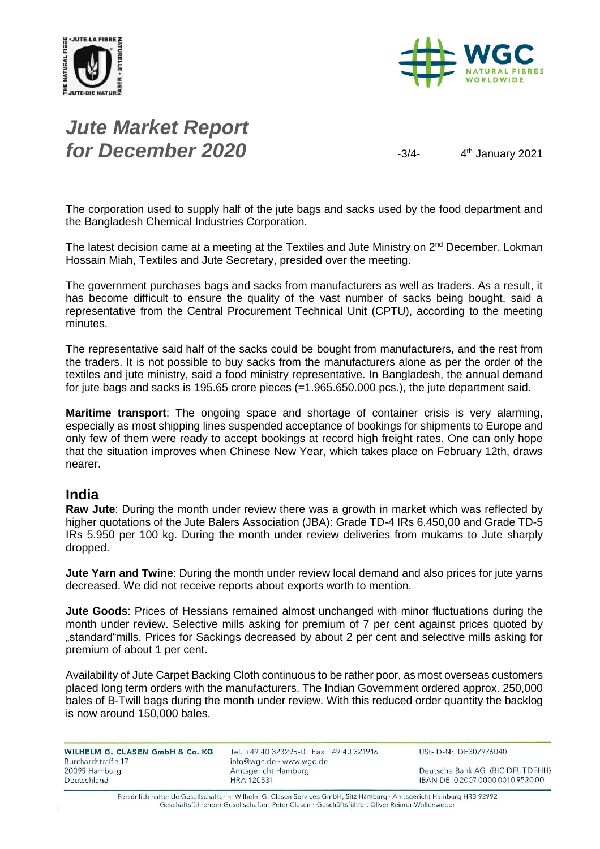



# *Jute Market Report for December 2020*  $\frac{3}{4}$

4<sup>th</sup> January 2021

The corporation used to supply half of the jute bags and sacks used by the food department and the Bangladesh Chemical Industries Corporation.

The latest decision came at a meeting at the Textiles and Jute Ministry on 2<sup>nd</sup> December. Lokman Hossain Miah, Textiles and Jute Secretary, presided over the meeting.

The government purchases bags and sacks from manufacturers as well as traders. As a result, it has become difficult to ensure the quality of the vast number of sacks being bought, said a representative from the Central Procurement Technical Unit (CPTU), according to the meeting minutes.

The representative said half of the sacks could be bought from manufacturers, and the rest from the traders. It is not possible to buy sacks from the manufacturers alone as per the order of the textiles and jute ministry, said a food ministry representative. In Bangladesh, the annual demand for jute bags and sacks is 195.65 crore pieces (=1.965.650.000 pcs.), the jute department said.

**Maritime transport**: The ongoing space and shortage of container crisis is very alarming, especially as most shipping lines suspended acceptance of bookings for shipments to Europe and only few of them were ready to accept bookings at record high freight rates. One can only hope that the situation improves when Chinese New Year, which takes place on February 12th, draws nearer.

#### **India**

**Raw Jute**: During the month under review there was a growth in market which was reflected by higher quotations of the Jute Balers Association (JBA): Grade TD-4 IRs 6.450,00 and Grade TD-5 IRs 5.950 per 100 kg. During the month under review deliveries from mukams to Jute sharply dropped.

**Jute Yarn and Twine**: During the month under review local demand and also prices for jute yarns decreased. We did not receive reports about exports worth to mention.

**Jute Goods**: Prices of Hessians remained almost unchanged with minor fluctuations during the month under review. Selective mills asking for premium of 7 per cent against prices quoted by "standard"mills. Prices for Sackings decreased by about 2 per cent and selective mills asking for premium of about 1 per cent.

Availability of Jute Carpet Backing Cloth continuous to be rather poor, as most overseas customers placed long term orders with the manufacturers. The Indian Government ordered approx. 250,000 bales of B-Twill bags during the month under review. With this reduced order quantity the backlog is now around 150,000 bales.

| WILHELM G. CLASEN GmbH & Co. KG | Tel. +49 40 323295-0 $\cdot$ Fax +49 40 321916 |
|---------------------------------|------------------------------------------------|
| Burchardstraße 17               | info@wgc.de · www.wgc.de                       |
| 20095 Hamburg                   | Amtsgericht Hamburg                            |
| Deutschland                     | <b>HRA 120531</b>                              |
|                                 |                                                |

USt-ID-Nr. DE307976040

Deutsche Bank AG (BIC DEUTDEHH) IBAN DE10 2007 0000 0010 9520 00